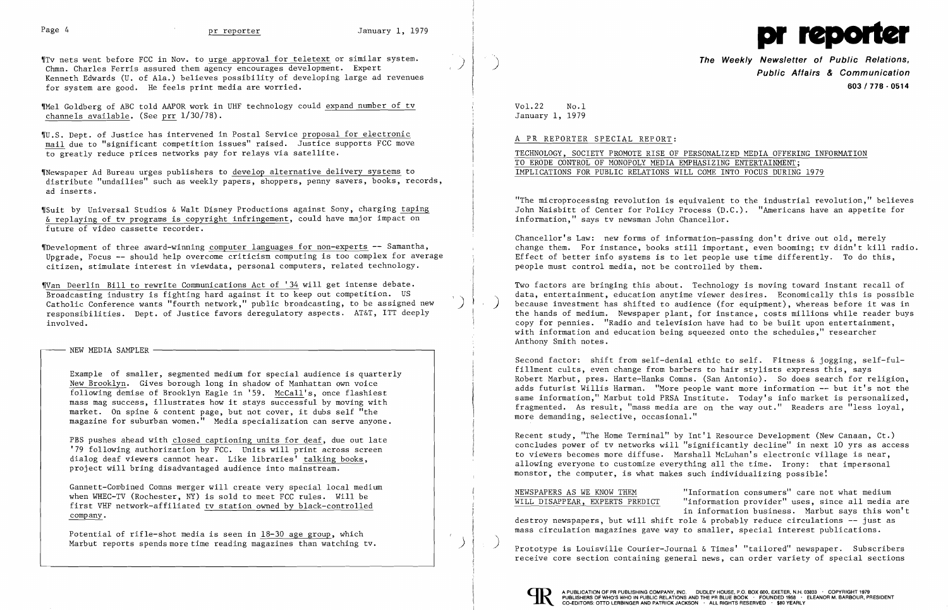I



'ITv nets went before FCC in Nov. to urge approval for teletext or similar system. Chmn. Charles Ferris assured them agency encourages development. Expert Kenneth Edwards (U. of Ala.) believes possibility of developing large ad revenues for system are good. He feels print media are worried.

WU.S. Dept. of Justice has intervened in Postal Service proposal for electronic mail due to "significant competition issues" raised. Justice supports FCC move to greatly reduce prices networks pay for relays via satellite.

"Mel Goldberg of ABC told AAPOR work in UHF technology could expand number of tv channels available. (See prr 1/30/78).

"Newspaper Ad Bureau urges publishers to develop alternative delivery systems to distribute "undailies" such as weekly papers, shoppers, penny savers, books, records, ad inserts.

"Suit by Universal Studios & Walt Disney Productions against Sony, charging taping & replaying of tv programs is copyright infringement, could have major impact on future of video cassette recorder.

PBS pushes ahead with closed captioning units for deaf, due out late '79 following authorization by FCC. Units will print across screen dialog deaf viewers cannot hear. Like libraries' talking books, project will bring disadvantaged audience into mainstream.

"Development of three award-winning computer languages for non-experts **--** Samantha, Upgrade, Focus **--** should help overcome criticism computing is too complex for average citizen, stimulate interest in viewdata, personal computers, related technology.

## ,) )<br>)

\  $\mathbf{L}$ 

'IVan Deerlin Bill to rewrite Communications Act of '34 will get intense debate. Broadcasting industry is fighting hard against it to keep out competition. US Catholic Conference wants "fourth network," public broadcasting, to be assigned new responsibilities. Dept. of Justice favors deregulatory aspects. AT&T, ITT deeply involved.

- NEW MEDIA SAMPLER -

Example of smaller, segmented medium for special audience is quarterly New Brooklyn. Gives borough long in shadow of Manhattan own voice following demise of Brooklyn Eagle in '59. McCall's, once flashiest mass mag success, illustrates how it stays successful by moving with market. On spine & content page, but not cover, it dubs self "the magazine for suburban women." Media specialization can serve anyone.

Gannett-Cowbined Comns merger will create very special local medium when WHEC-TV (Rochester, NY) is sold to meet FCC rules. Will be first VHF network-affiliated tv station owned by black-controlled company.

Potential of rifle-shot media is seen in 18-30 age group, which Marbut reports spends more time reading magazines than watching tv. I

')

 **The Weekly Newsletter of Public Relations, Public Affairs & Communication 603/778·0514** 

Vo1.22 No.1 January 1, 1979

## A PR REPORTER SPECIAL REPORT:

TECHNOLOGY, SOCIETY PROMOTE RISE OF PERSONALIZED MEDIA OFFERING INFORMATION TO ERODE CONTROL OF MONOPOLY MEDIA EMPHASIZING ENTERTAINMENT; IMPLICATIONS FOR PUBLIC RELATIONS WILL COME INTO FOCUS DURING 1979

"The microprocessing revolution is equivalent to the industrial revolution," believes John Naisbitt of Center for Policy Process (D.C.). "Americans have an appetite for information," says tv newsman John Chancellor.

Chancellor's Law: new forms of information-passing don't drive out old, merely change them. For instance, books still important, even booming; tv didn't kill radio. Effect of better info systems is to let people use time differently. To do this, people must control media, not be controlled by them.

Two factors are bringing this about. Technology is moving toward instant recall of data, entertainment, education anytime viewer desires. Economically this is possible because investment has shifted to audience (for equipment), whereas before it was in the hands of medium. Newspaper plant, for instance, costs millions while reader buys copy for pennies. "Radio and television have had to be built upon entertainment, with information and education being squeezed onto the schedules," researcher Anthony Smith notes.

Second factor: shift from self-denial ethic to self. Fitness & jogging, self-fulfillment cults, even change from barbers to hair stylists express this, says Robert Marbut, pres. Harte-Hanks Comns. (San Antonio). So does search for religion, adds futurist Willis Harman. "More people want more information -- but it's not the same information," Marbut told PRSA Institute. Today's info market is personalized, fragmented. As result, "mass media are on the way out." Readers are "less loyal, more demanding, selective, occasional."

Recent study, "The Home Terminal" by Int'l Resource Development (New Canaan, Ct.) concludes power of tv networks will "significantly decline" in next 10 yrs as access to viewers becomes more diffuse. Marshall McLuhan's electronic village is near, allowing everyone to customize everything all the time. Irony: that impersonal monstor, the computer, is what makes such individualizing possible!

NEWSPAPERS AS WE KNOW THEM "Information consumers" care not what medium WILL DISAPPEAR, EXPERTS PREDICT "information provider" uses, since all media are in information business. Marbut says this won't destroy newspapers, but will shift role & probably reduce circulations **--** just as mass circulation magazines gave way to smaller, special interest publications.

) Prototype is Louisville Courier-Journal & Times' "tailored" newspaper. Subscribers receive core section containing general news, can order variety of special sections



)